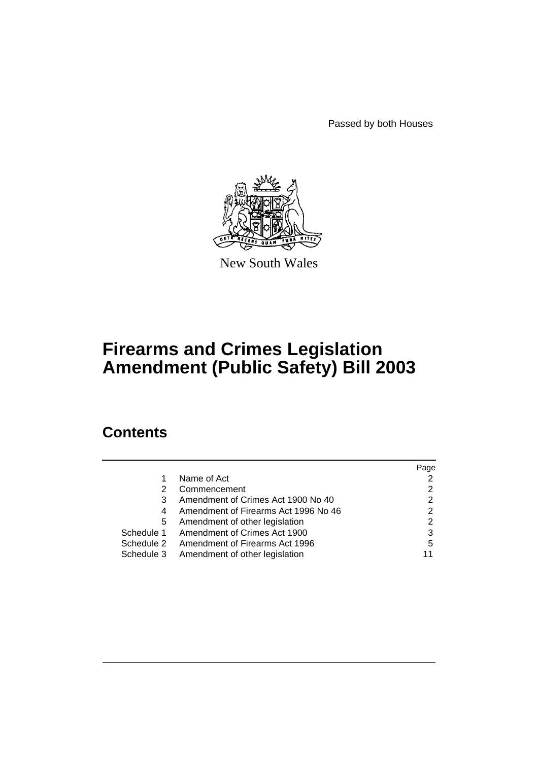Passed by both Houses



New South Wales

# **Firearms and Crimes Legislation Amendment (Public Safety) Bill 2003**

# **Contents**

|            |                                      | Page |
|------------|--------------------------------------|------|
|            | Name of Act                          | 2    |
| 2          | Commencement                         | 2    |
| 3          | Amendment of Crimes Act 1900 No 40   | 2    |
| 4          | Amendment of Firearms Act 1996 No 46 | 2    |
| 5          | Amendment of other legislation       | 2    |
| Schedule 1 | Amendment of Crimes Act 1900         | 3    |
| Schedule 2 | Amendment of Firearms Act 1996       | 5    |
| Schedule 3 | Amendment of other legislation       | 11   |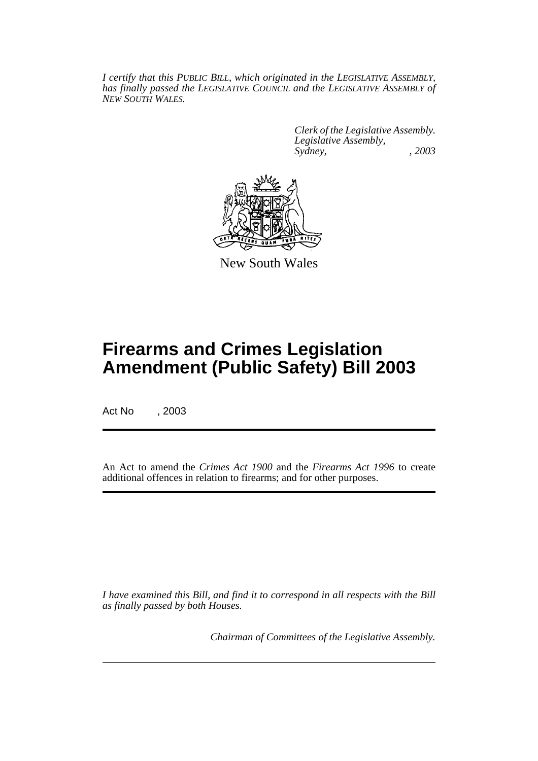*I certify that this PUBLIC BILL, which originated in the LEGISLATIVE ASSEMBLY, has finally passed the LEGISLATIVE COUNCIL and the LEGISLATIVE ASSEMBLY of NEW SOUTH WALES.*

> *Clerk of the Legislative Assembly. Legislative Assembly, Sydney, , 2003*



New South Wales

# **Firearms and Crimes Legislation Amendment (Public Safety) Bill 2003**

Act No , 2003

An Act to amend the *Crimes Act 1900* and the *Firearms Act 1996* to create additional offences in relation to firearms; and for other purposes.

*I have examined this Bill, and find it to correspond in all respects with the Bill as finally passed by both Houses.*

*Chairman of Committees of the Legislative Assembly.*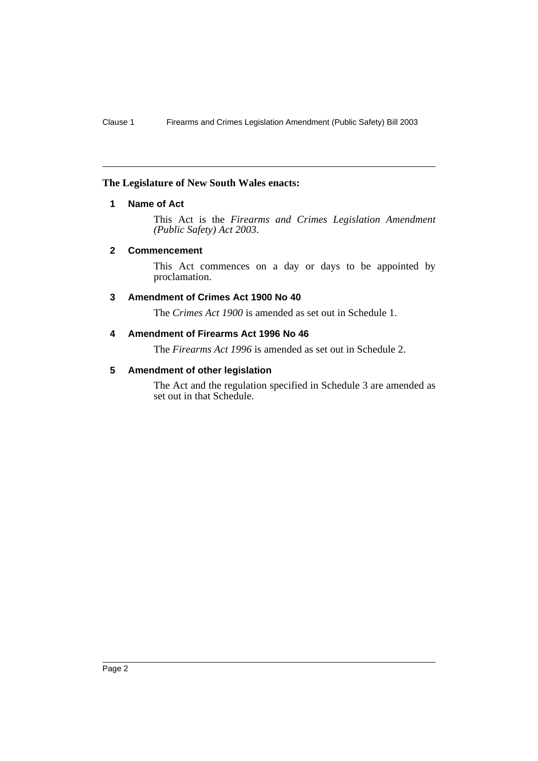### **The Legislature of New South Wales enacts:**

# **1 Name of Act**

This Act is the *Firearms and Crimes Legislation Amendment (Public Safety) Act 2003*.

### **2 Commencement**

This Act commences on a day or days to be appointed by proclamation.

# **3 Amendment of Crimes Act 1900 No 40**

The *Crimes Act 1900* is amended as set out in Schedule 1.

# **4 Amendment of Firearms Act 1996 No 46**

The *Firearms Act 1996* is amended as set out in Schedule 2.

# **5 Amendment of other legislation**

The Act and the regulation specified in Schedule 3 are amended as set out in that Schedule.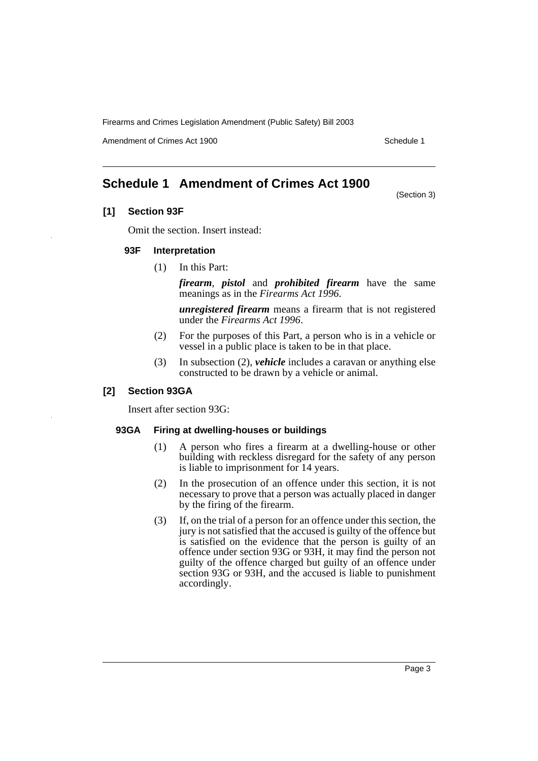Amendment of Crimes Act 1900 New York 1900 New York 1900 New York 1900 Schedule 1

# **Schedule 1 Amendment of Crimes Act 1900**

(Section 3)

# **[1] Section 93F**

Omit the section. Insert instead:

#### **93F Interpretation**

(1) In this Part:

*firearm*, *pistol* and *prohibited firearm* have the same meanings as in the *Firearms Act 1996*.

*unregistered firearm* means a firearm that is not registered under the *Firearms Act 1996*.

- (2) For the purposes of this Part, a person who is in a vehicle or vessel in a public place is taken to be in that place.
- (3) In subsection (2), *vehicle* includes a caravan or anything else constructed to be drawn by a vehicle or animal.

#### **[2] Section 93GA**

Insert after section 93G:

### **93GA Firing at dwelling-houses or buildings**

- (1) A person who fires a firearm at a dwelling-house or other building with reckless disregard for the safety of any person is liable to imprisonment for 14 years.
- (2) In the prosecution of an offence under this section, it is not necessary to prove that a person was actually placed in danger by the firing of the firearm.
- (3) If, on the trial of a person for an offence under this section, the jury is not satisfied that the accused is guilty of the offence but is satisfied on the evidence that the person is guilty of an offence under section 93G or 93H, it may find the person not guilty of the offence charged but guilty of an offence under section 93G or 93H, and the accused is liable to punishment accordingly.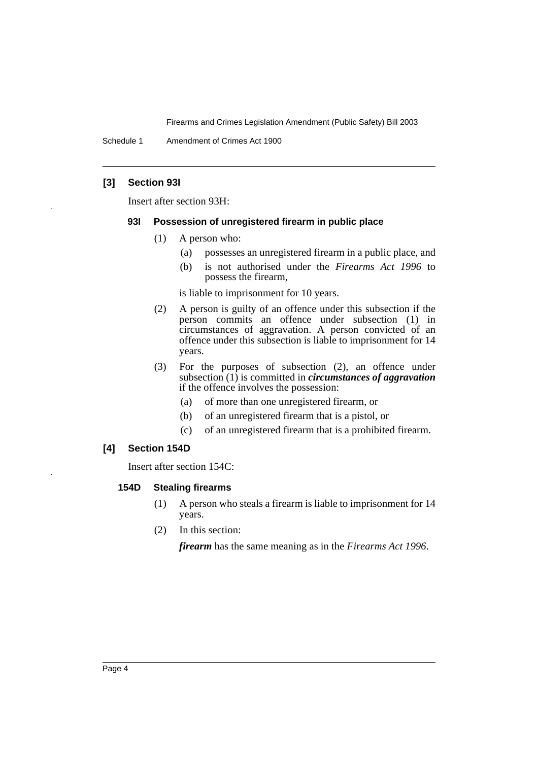Schedule 1 Amendment of Crimes Act 1900

# **[3] Section 93I**

Insert after section 93H:

### **93I Possession of unregistered firearm in public place**

- (1) A person who:
	- (a) possesses an unregistered firearm in a public place, and
	- (b) is not authorised under the *Firearms Act 1996* to possess the firearm,

is liable to imprisonment for 10 years.

- (2) A person is guilty of an offence under this subsection if the person commits an offence under subsection (1) in circumstances of aggravation. A person convicted of an offence under this subsection is liable to imprisonment for 14 years.
- (3) For the purposes of subsection (2), an offence under subsection (1) is committed in *circumstances of aggravation* if the offence involves the possession:
	- (a) of more than one unregistered firearm, or
	- (b) of an unregistered firearm that is a pistol, or
	- (c) of an unregistered firearm that is a prohibited firearm.

# **[4] Section 154D**

Insert after section 154C:

# **154D Stealing firearms**

- (1) A person who steals a firearm is liable to imprisonment for 14 years.
- (2) In this section:

*firearm* has the same meaning as in the *Firearms Act 1996*.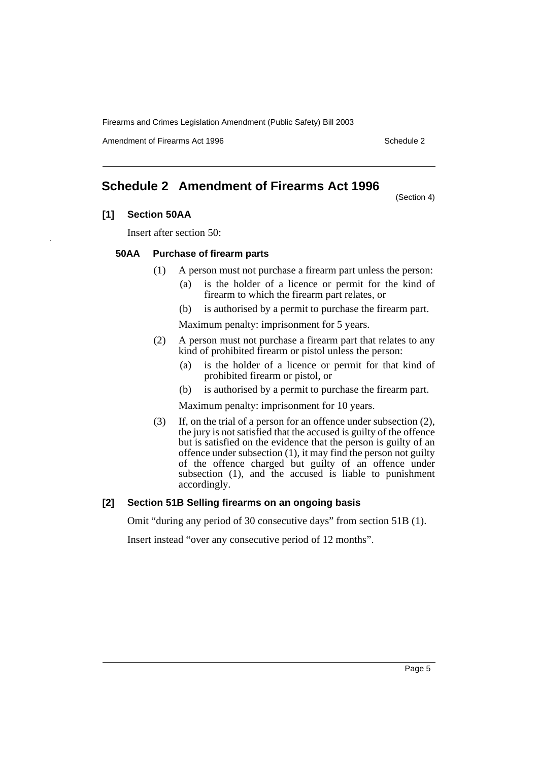Amendment of Firearms Act 1996 Schedule 2

# **Schedule 2 Amendment of Firearms Act 1996**

(Section 4)

# **[1] Section 50AA**

Insert after section 50:

#### **50AA Purchase of firearm parts**

- (1) A person must not purchase a firearm part unless the person:
	- (a) is the holder of a licence or permit for the kind of firearm to which the firearm part relates, or
	- (b) is authorised by a permit to purchase the firearm part.

Maximum penalty: imprisonment for 5 years.

- (2) A person must not purchase a firearm part that relates to any kind of prohibited firearm or pistol unless the person:
	- (a) is the holder of a licence or permit for that kind of prohibited firearm or pistol, or
	- (b) is authorised by a permit to purchase the firearm part.

Maximum penalty: imprisonment for 10 years.

(3) If, on the trial of a person for an offence under subsection (2), the jury is not satisfied that the accused is guilty of the offence but is satisfied on the evidence that the person is guilty of an offence under subsection (1), it may find the person not guilty of the offence charged but guilty of an offence under subsection (1), and the accused is liable to punishment accordingly.

# **[2] Section 51B Selling firearms on an ongoing basis**

Omit "during any period of 30 consecutive days" from section 51B (1).

Insert instead "over any consecutive period of 12 months".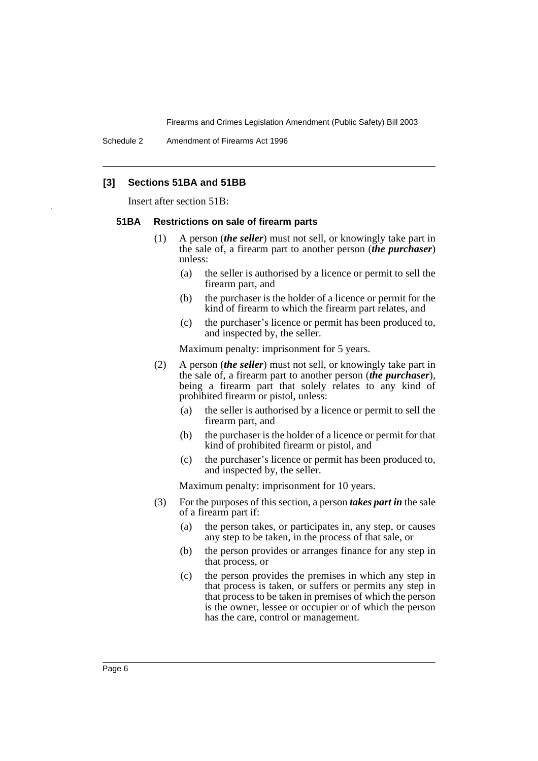# **[3] Sections 51BA and 51BB**

Insert after section 51B:

#### **51BA Restrictions on sale of firearm parts**

- (1) A person (*the seller*) must not sell, or knowingly take part in the sale of, a firearm part to another person (*the purchaser*) unless:
	- (a) the seller is authorised by a licence or permit to sell the firearm part, and
	- (b) the purchaser is the holder of a licence or permit for the kind of firearm to which the firearm part relates, and
	- (c) the purchaser's licence or permit has been produced to, and inspected by, the seller.

Maximum penalty: imprisonment for 5 years.

- (2) A person (*the seller*) must not sell, or knowingly take part in the sale of, a firearm part to another person (*the purchaser*), being a firearm part that solely relates to any kind of prohibited firearm or pistol, unless:
	- (a) the seller is authorised by a licence or permit to sell the firearm part, and
	- (b) the purchaser is the holder of a licence or permit for that kind of prohibited firearm or pistol, and
	- (c) the purchaser's licence or permit has been produced to, and inspected by, the seller.

Maximum penalty: imprisonment for 10 years.

- (3) For the purposes of this section, a person *takes part in* the sale of a firearm part if:
	- (a) the person takes, or participates in, any step, or causes any step to be taken, in the process of that sale, or
	- (b) the person provides or arranges finance for any step in that process, or
	- (c) the person provides the premises in which any step in that process is taken, or suffers or permits any step in that process to be taken in premises of which the person is the owner, lessee or occupier or of which the person has the care, control or management.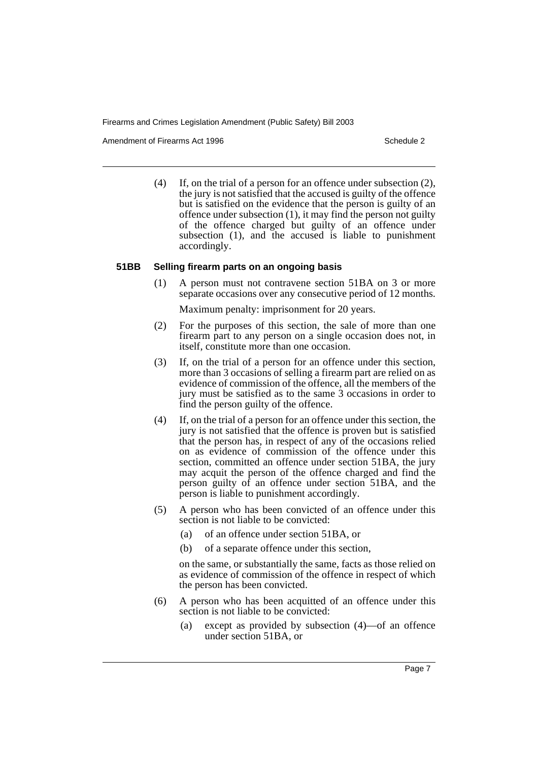Amendment of Firearms Act 1996 Schedule 2

(4) If, on the trial of a person for an offence under subsection (2), the jury is not satisfied that the accused is guilty of the offence but is satisfied on the evidence that the person is guilty of an offence under subsection (1), it may find the person not guilty of the offence charged but guilty of an offence under subsection (1), and the accused is liable to punishment accordingly.

#### **51BB Selling firearm parts on an ongoing basis**

(1) A person must not contravene section 51BA on 3 or more separate occasions over any consecutive period of 12 months.

Maximum penalty: imprisonment for 20 years.

- (2) For the purposes of this section, the sale of more than one firearm part to any person on a single occasion does not, in itself, constitute more than one occasion.
- (3) If, on the trial of a person for an offence under this section, more than 3 occasions of selling a firearm part are relied on as evidence of commission of the offence, all the members of the jury must be satisfied as to the same 3 occasions in order to find the person guilty of the offence.
- (4) If, on the trial of a person for an offence under this section, the jury is not satisfied that the offence is proven but is satisfied that the person has, in respect of any of the occasions relied on as evidence of commission of the offence under this section, committed an offence under section 51BA, the jury may acquit the person of the offence charged and find the person guilty of an offence under section 51BA, and the person is liable to punishment accordingly.
- (5) A person who has been convicted of an offence under this section is not liable to be convicted:
	- (a) of an offence under section 51BA, or
	- (b) of a separate offence under this section,

on the same, or substantially the same, facts as those relied on as evidence of commission of the offence in respect of which the person has been convicted.

- (6) A person who has been acquitted of an offence under this section is not liable to be convicted:
	- (a) except as provided by subsection (4)—of an offence under section 51BA, or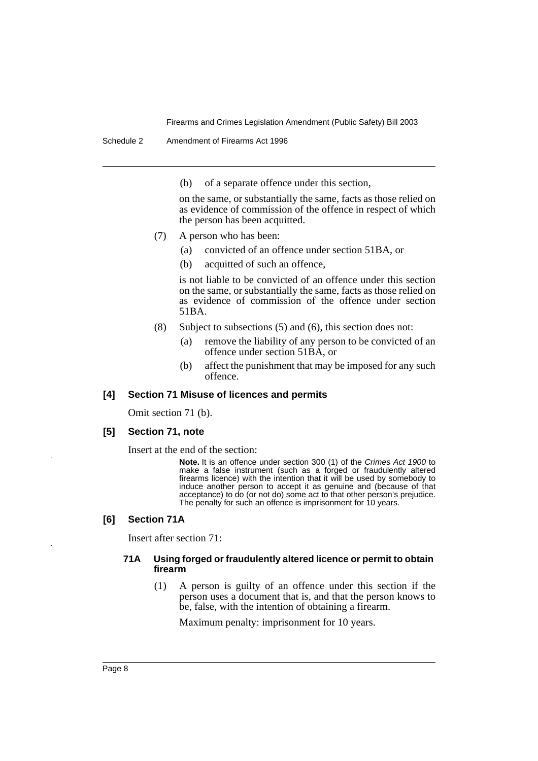Schedule 2 Amendment of Firearms Act 1996

(b) of a separate offence under this section,

on the same, or substantially the same, facts as those relied on as evidence of commission of the offence in respect of which the person has been acquitted.

- (7) A person who has been:
	- (a) convicted of an offence under section 51BA, or
	- (b) acquitted of such an offence,

is not liable to be convicted of an offence under this section on the same, or substantially the same, facts as those relied on as evidence of commission of the offence under section 51BA.

- (8) Subject to subsections (5) and (6), this section does not:
	- (a) remove the liability of any person to be convicted of an offence under section 51BA, or
	- (b) affect the punishment that may be imposed for any such offence.

#### **[4] Section 71 Misuse of licences and permits**

Omit section 71 (b).

#### **[5] Section 71, note**

Insert at the end of the section:

**Note.** It is an offence under section 300 (1) of the Crimes Act 1900 to make a false instrument (such as a forged or fraudulently altered firearms licence) with the intention that it will be used by somebody to induce another person to accept it as genuine and (because of that acceptance) to do (or not do) some act to that other person's prejudice. The penalty for such an offence is imprisonment for 10 years.

#### **[6] Section 71A**

Insert after section 71:

#### **71A Using forged or fraudulently altered licence or permit to obtain firearm**

(1) A person is guilty of an offence under this section if the person uses a document that is, and that the person knows to be, false, with the intention of obtaining a firearm.

Maximum penalty: imprisonment for 10 years.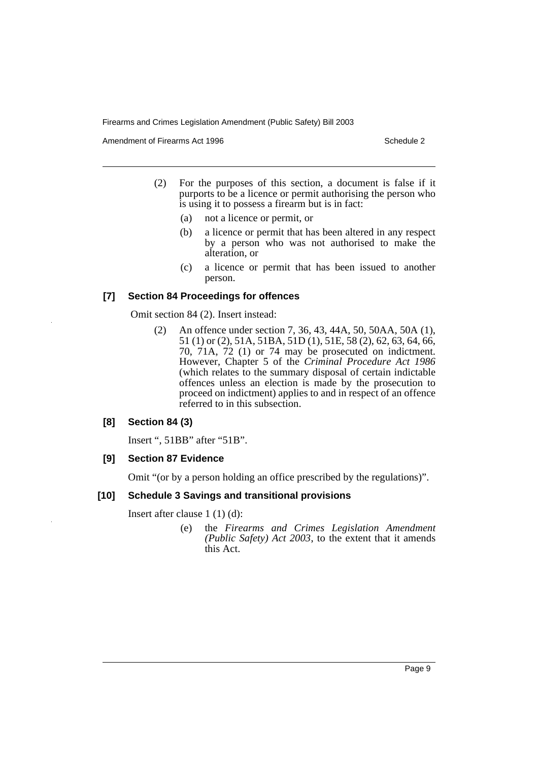Amendment of Firearms Act 1996 Schedule 2

- (2) For the purposes of this section, a document is false if it purports to be a licence or permit authorising the person who is using it to possess a firearm but is in fact:
	- (a) not a licence or permit, or
	- (b) a licence or permit that has been altered in any respect by a person who was not authorised to make the alteration, or
	- (c) a licence or permit that has been issued to another person.

### **[7] Section 84 Proceedings for offences**

Omit section 84 (2). Insert instead:

(2) An offence under section 7, 36, 43, 44A, 50, 50AA, 50A (1), 51 (1) or (2), 51A, 51BA, 51D (1), 51E, 58 (2), 62, 63, 64, 66, 70, 71A, 72 (1) or 74 may be prosecuted on indictment. However, Chapter 5 of the *Criminal Procedure Act 1986* (which relates to the summary disposal of certain indictable offences unless an election is made by the prosecution to proceed on indictment) applies to and in respect of an offence referred to in this subsection.

# **[8] Section 84 (3)**

Insert ", 51BB" after "51B".

#### **[9] Section 87 Evidence**

Omit "(or by a person holding an office prescribed by the regulations)".

# **[10] Schedule 3 Savings and transitional provisions**

Insert after clause 1 (1) (d):

(e) the *Firearms and Crimes Legislation Amendment (Public Safety) Act 2003*, to the extent that it amends this Act.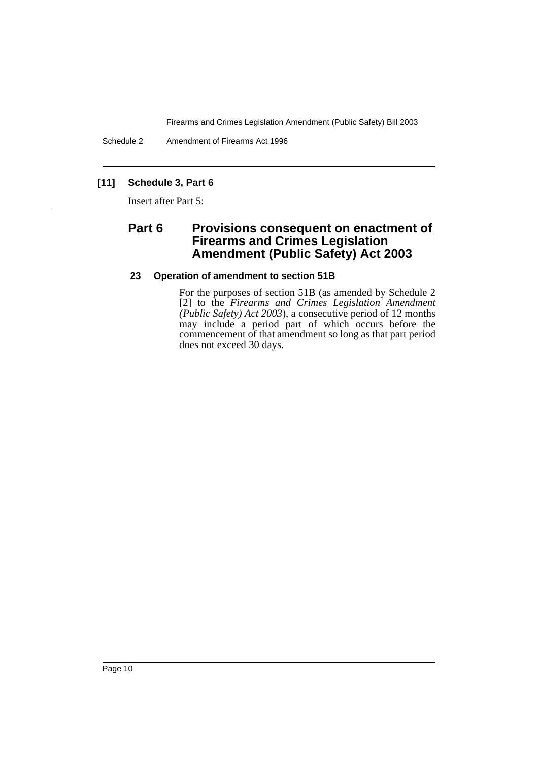Schedule 2 Amendment of Firearms Act 1996

# **[11] Schedule 3, Part 6**

Insert after Part 5:

# **Part 6 Provisions consequent on enactment of Firearms and Crimes Legislation Amendment (Public Safety) Act 2003**

# **23 Operation of amendment to section 51B**

For the purposes of section 51B (as amended by Schedule 2 [2] to the *Firearms and Crimes Legislation Amendment (Public Safety) Act 2003*), a consecutive period of 12 months may include a period part of which occurs before the commencement of that amendment so long as that part period does not exceed 30 days.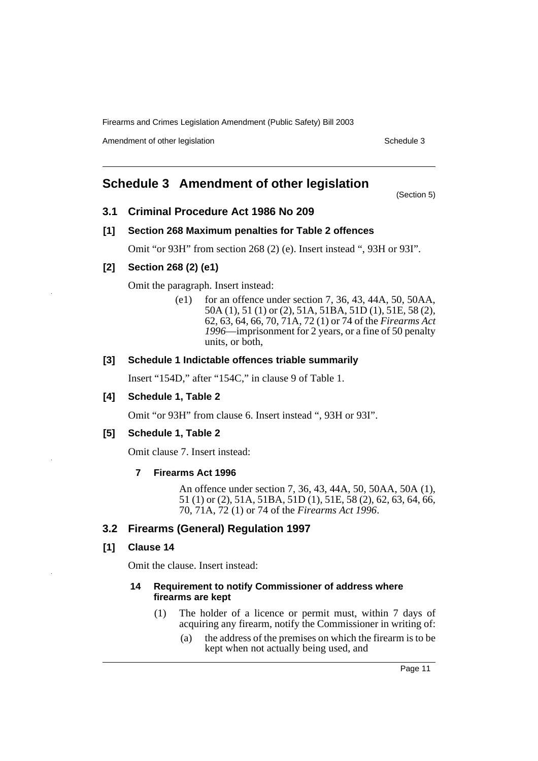Amendment of other legislation Schedule 3

# **Schedule 3 Amendment of other legislation**

(Section 5)

# **3.1 Criminal Procedure Act 1986 No 209**

#### **[1] Section 268 Maximum penalties for Table 2 offences**

Omit "or 93H" from section 268 (2) (e). Insert instead ", 93H or 93I".

# **[2] Section 268 (2) (e1)**

Omit the paragraph. Insert instead:

(e1) for an offence under section 7, 36, 43, 44A, 50, 50AA, 50A (1), 51 (1) or (2), 51A, 51BA, 51D (1), 51E, 58 (2), 62, 63, 64, 66, 70, 71A, 72 (1) or 74 of the *Firearms Act 1996*—imprisonment for 2 years, or a fine of 50 penalty units, or both,

## **[3] Schedule 1 Indictable offences triable summarily**

Insert "154D," after "154C," in clause 9 of Table 1.

# **[4] Schedule 1, Table 2**

Omit "or 93H" from clause 6. Insert instead ", 93H or 93I".

#### **[5] Schedule 1, Table 2**

Omit clause 7. Insert instead:

#### **7 Firearms Act 1996**

An offence under section 7, 36, 43, 44A, 50, 50AA, 50A (1), 51 (1) or (2), 51A, 51BA, 51D (1), 51E, 58 (2), 62, 63, 64, 66, 70, 71A, 72 (1) or 74 of the *Firearms Act 1996*.

# **3.2 Firearms (General) Regulation 1997**

# **[1] Clause 14**

Omit the clause. Insert instead:

#### **14 Requirement to notify Commissioner of address where firearms are kept**

- (1) The holder of a licence or permit must, within 7 days of acquiring any firearm, notify the Commissioner in writing of:
	- (a) the address of the premises on which the firearm is to be kept when not actually being used, and